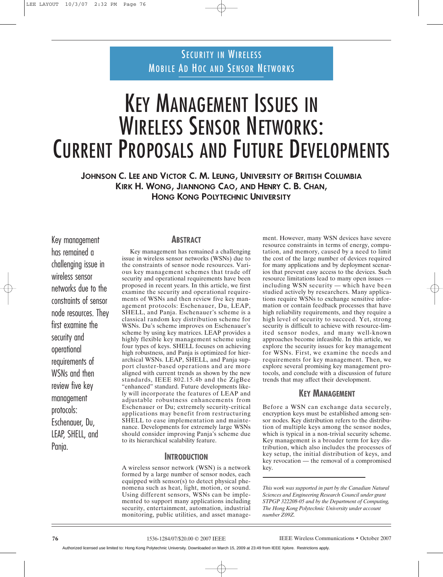# **SECURITY IN WIRELESS** MOBILE AD HOC AND SENSOR NETWORKS

# KEY MANAGEMENT ISSUES IN WIRELESS SENSOR NETWORKS: CURRENT PROPOSALS AND FUTURE DEVELOPMENTS

**JOHNSON C. LEE AND VICTOR C. M. LEUNG, UNIVERSITY OF BRITISH COLUMBIA KIRK H. WONG, JIANNONG CAO, AND HENRY C. B. CHAN, HONG KONG POLYTECHNIC UNIVERSITY**

Key management has remained a challenging issue in wireless sensor networks due to the constraints of sensor node resources. They first examine the security and operational requirements of WSNs and then review five key management protocols: Eschenauer, Du, LEAP, SHELL, and Panja.

# **ABSTRACT**

Key management has remained a challenging issue in wireless sensor networks (WSNs) due to the constraints of sensor node resources. Various key management schemes that trade off security and operational requirements have been proposed in recent years. In this article, we first examine the security and operational requirements of WSNs and then review five key management protocols: Eschenauer, Du, LEAP, SHELL, and Panja. Eschenauer's scheme is a classical random key distribution scheme for WSNs. Du's scheme improves on Eschenauer's scheme by using key matrices. LEAP provides a highly flexible key management scheme using four types of keys. SHELL focuses on achieving high robustness, and Panja is optimized for hierarchical WSNs. LEAP, SHELL, and Panja support cluster-based operations and are more aligned with current trends as shown by the new standards, IEEE 802.15.4b and the ZigBee "enhanced" standard. Future developments likely will incorporate the features of LEAP and adjustable robustness enhancements from Eschenauer or Du; extremely security-critical applications may benefit from restructuring SHELL to ease implementation and maintenance. Developments for extremely large WSNs should consider improving Panja's scheme due to its hierarchical scalability feature.

### **INTRODUCTION**

A wireless sensor network (WSN) is a network formed by a large number of sensor nodes, each equipped with sensor(s) to detect physical phenomena such as heat, light, motion, or sound. Using different sensors, WSNs can be implemented to support many applications including security, entertainment, automation, industrial monitoring, public utilities, and asset management. However, many WSN devices have severe resource constraints in terms of energy, computation, and memory, caused by a need to limit the cost of the large number of devices required for many applications and by deployment scenarios that prevent easy access to the devices. Such resource limitations lead to many open issues including WSN security — which have been studied actively by researchers. Many applications require WSNs to exchange sensitive information or contain feedback processes that have high reliability requirements, and they require a high level of security to succeed. Yet, strong security is difficult to achieve with resource-limited sensor nodes, and many well-known approaches become infeasible. In this article, we explore the security issues for key management for WSNs. First, we examine the needs and requirements for key management. Then, we explore several promising key management protocols, and conclude with a discussion of future trends that may affect their development.

# **KEY MANAGEMENT**

Before a WSN can exchange data securely, encryption keys must be established among sensor nodes. Key distribution refers to the distribution of multiple keys among the sensor nodes, which is typical in a non-trivial security scheme. Key management is a broader term for key distribution, which also includes the processes of key setup, the initial distribution of keys, and key revocation — the removal of a compromised key.

*This work was supported in part by the Canadian Natural Sciences and Engineering Research Council under grant STPGP 322208-05 and by the Department of Computing, The Hong Kong Polytechnic University under account number Z09Z.*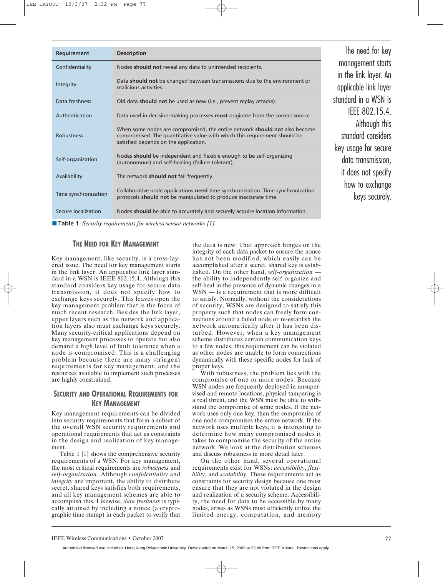| Requirement          | <b>Description</b>                                                                                                                                                                                      |
|----------------------|---------------------------------------------------------------------------------------------------------------------------------------------------------------------------------------------------------|
| Confidentiality      | Nodes should not reveal any data to unintended recipients.                                                                                                                                              |
| Integrity            | Data <b>should not</b> be changed between transmissions due to the environment or<br>malicious activities.                                                                                              |
| Data freshness       | Old data should not be used as new (i.e., prevent replay attacks).                                                                                                                                      |
| Authentication       | Data used in decision-making processes must originate from the correct source.                                                                                                                          |
| <b>Robustness</b>    | When some nodes are compromised, the entire network <b>should not</b> also become<br>compromised. The quantitative value with which this requirement should be<br>satisfied depends on the application. |
| Self-organization    | Nodes should be independent and flexible enough to be self-organizing<br>(autonomous) and self-healing (failure tolerant).                                                                              |
| Availability         | The network should not fail frequently.                                                                                                                                                                 |
| Time synchronization | Collaborative node applications need time synchronization. Time synchronization<br>protocols should not be manipulated to produce inaccurate time.                                                      |
| Secure localization  | Nodes should be able to accurately and securely acquire location information.                                                                                                                           |

The need for key management starts in the link layer. An applicable link layer standard in a WSN is IEEE 802.15.4. Although this standard considers key usage for secure data transmission, it does not specify how to exchange keys securely.

■ **Table 1.** *Security requirements for wireless sensor networks* [1].

#### **THE NEED FOR KEY MANAGEMENT**

Key management, like security, is a cross-layered issue. The need for key management starts in the link layer. An applicable link layer standard in a WSN is IEEE 802.15.4. Although this standard considers key usage for secure data transmission, it does not specify how to exchange keys securely. This leaves open the key management problem that is the focus of much recent research. Besides the link layer, upper layers such as the network and application layers also must exchange keys securely. Many security-critical applications depend on key management processes to operate but also demand a high level of fault tolerance when a node is compromised. This is a challenging problem because there are many stringent requirements for key management, and the resources available to implement such processes are highly constrained.

## **SECURITY AND OPERATIONAL REQUIREMENTS FOR KEY MANAGEMENT**

Key management requirements can be divided into security requirements that form a subset of the overall WSN security requirements and operational requirements that act as constraints in the design and realization of key management.

Table 1 [1] shows the comprehensive security requirements of a WSN. For key management, the most critical requirements are *robustness* and *self-organization*. Although *confidentiality* and *integrity* are important, the ability to distribute secret, shared keys satisfies both requirements, and all key management schemes are able to accomplish this. Likewise, *data freshness* is typically attained by including a nonce (a cryptographic time stamp) in each packet to verify that

the data is new. That approach hinges on the integrity of each data packet to ensure the nonce has not been modified, which easily can be accomplished after a secret, shared key is established. On the other hand, *self-organization* the ability to independently self-organize and self-heal in the presence of dynamic changes in a WSN — is a requirement that is more difficult to satisfy. Normally, without the considerations of security, WSNs are designed to satisfy this property such that nodes can freely form connections around a failed node or re-establish the network automatically after it has been disturbed. However, when a key management scheme distributes certain communication keys to a few nodes, this requirement can be violated as other nodes are unable to form connections dynamically with these specific nodes for lack of proper keys.

With robustness, the problem lies with the compromise of one or more nodes. Because WSN nodes are frequently deployed in unsupervised and remote locations, physical tampering is a real threat, and the WSN must be able to withstand the compromise of some nodes. If the network uses only one key, then the compromise of one node compromises the entire network. If the network uses multiple keys, it is interesting to determine how many compromised nodes it takes to compromise the security of the entire network. We look at the distribution schemes and discuss robustness in more detail later.

On the other hand, several operational requirements exist for WSNs: *accessibility*, *flexibility*, and *scalability*. These requirements act as constraints for security design because one must ensure that they are not violated in the design and realization of a security scheme. Accessibility, the need for data to be accessible by many nodes, arises as WSNs must efficiently utilize the limited energy, computation, and memory

Authorized licensed use limited to: Hong Kong Polytechnic University. Downloaded on March 15, 2009 at 23:49 from IEEE Xplore. Restrictions apply.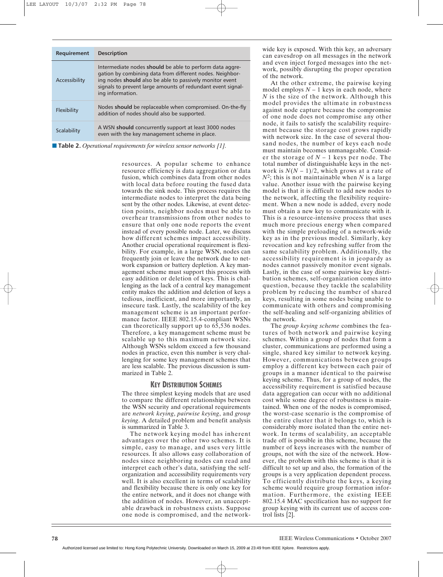| Requirement   | <b>Description</b>                                                                                                                                                                                                                                                  |
|---------------|---------------------------------------------------------------------------------------------------------------------------------------------------------------------------------------------------------------------------------------------------------------------|
| Accessibility | Intermediate nodes should be able to perform data aggre-<br>gation by combining data from different nodes. Neighbor-<br>ing nodes should also be able to passively monitor event<br>signals to prevent large amounts of redundant event signal-<br>ing information. |
| Flexibility   | Nodes should be replaceable when compromised. On-the-fly<br>addition of nodes should also be supported.                                                                                                                                                             |
| Scalability   | A WSN should concurrently support at least 3000 nodes<br>even with the key management scheme in place.                                                                                                                                                              |

■ **Table 2.** *Operational requirements for wireless sensor networks* [1].

resources. A popular scheme to enhance resource efficiency is data aggregation or data fusion, which combines data from other nodes with local data before routing the fused data towards the sink node. This process requires the intermediate nodes to interpret the data being sent by the other nodes. Likewise, at event detection points, neighbor nodes must be able to overhear transmissions from other nodes to ensure that only one node reports the event instead of every possible node. Later, we discuss how different schemes impact accessibility. Another crucial operational requirement is flexibility. For example, in a large WSN, nodes can frequently join or leave the network due to network expansion or battery depletion. A key management scheme must support this process with easy addition or deletion of keys. This is challenging as the lack of a central key management entity makes the addition and deletion of keys a tedious, inefficient, and more importantly, an insecure task. Lastly, the scalability of the key management scheme is an important performance factor. IEEE 802.15.4-compliant WSNs can theoretically support up to 65,536 nodes. Therefore, a key management scheme must be scalable up to this maximum network size. Although WSNs seldom exceed a few thousand nodes in practice, even this number is very challenging for some key management schemes that are less scalable. The previous discussion is summarized in Table 2.

#### **KEY DISTRIBUTION SCHEMES**

The three simplest keying models that are used to compare the different relationships between the WSN security and operational requirements are *network keying*, *pairwise keying*, and *group keying*. A detailed problem and benefit analysis is summarized in Table 3.

The network keying model has inherent advantages over the other two schemes. It is simple, easy to manage, and uses very little resources. It also allows easy collaboration of nodes since neighboring nodes can read and interpret each other's data, satisfying the selforganization and accessibility requirements very well. It is also excellent in terms of scalability and flexibility because there is only one key for the entire network, and it does not change with the addition of nodes. However, an unacceptable drawback in robustness exists. Suppose one node is compromised, and the networkwide key is exposed. With this key, an adversary can eavesdrop on all messages in the network and even inject forged messages into the network, possibly disrupting the proper operation of the network.

At the other extreme, the pairwise keying model employs  $N-1$  keys in each node, where *N* is the size of the network. Although this model provides the ultimate in robustness against node capture because the compromise of one node does not compromise any other node, it fails to satisfy the scalability requirement because the storage cost grows rapidly with network size. In the case of several thousand nodes, the number of keys each node must maintain becomes unmanageable. Consider the storage of  $N-1$  keys per node. The total number of distinguishable keys in the network is  $N(N-1)/2$ , which grows at a rate of *N*2; this is not maintainable when *N* is a large value. Another issue with the pairwise keying model is that it is difficult to add new nodes to the network, affecting the flexibility requirement. When a new node is added, every node must obtain a new key to communicate with it. This is a resource-intensive process that uses much more precious energy when compared with the simple preloading of a network-wide key as in the previous model. Similarly, key revocation and key refreshing suffer from the same scalability problem. Additionally, the accessibility requirement is in jeopardy as nodes cannot passively monitor event signals. Lastly, in the case of some pairwise key distribution schemes, self-organization comes into question, because they tackle the scalability problem by reducing the number of shared keys, resulting in some nodes being unable to communicate with others and compromising the self-healing and self-organizing abilities of the network.

The *group keying scheme* combines the features of both network and pairwise keying schemes. Within a group of nodes that form a cluster, communications are performed using a single, shared key similar to network keying. However, communications between groups employ a different key between each pair of groups in a manner identical to the pairwise keying scheme. Thus, for a group of nodes, the accessibility requirement is satisfied because data aggregation can occur with no additional cost while some degree of robustness is maintained. When one of the nodes is compromised, the worst-case scenario is the compromise of the entire cluster that it belongs to, which is considerably more isolated than the entire network. In terms of scalability, an acceptable trade off is possible in this scheme, because the number of keys increases with the number of groups, not with the size of the network. However, the problem with this scheme is that it is difficult to set up and also, the formation of the groups is a very application dependent process. To efficiently distribute the keys, a keying scheme would require group formation information. Furthermore, the existing IEEE 802.15.4 MAC specification has no support for group keying with its current use of access control lists [2].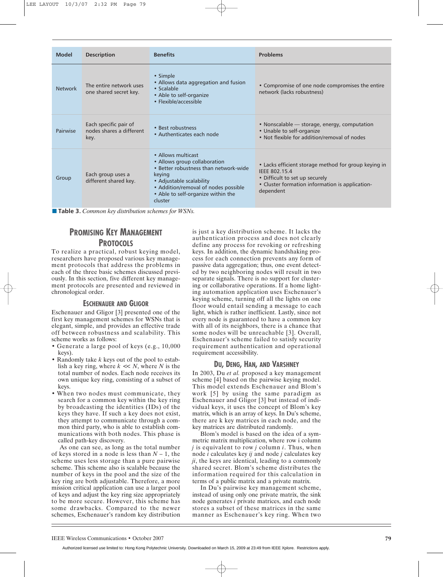| <b>Model</b>   | <b>Description</b>                                        | <b>Benefits</b>                                                                                                                                                                                                            | <b>Problems</b>                                                                                                                                                         |
|----------------|-----------------------------------------------------------|----------------------------------------------------------------------------------------------------------------------------------------------------------------------------------------------------------------------------|-------------------------------------------------------------------------------------------------------------------------------------------------------------------------|
| <b>Network</b> | The entire network uses<br>one shared secret key.         | • Simple<br>• Allows data aggregation and fusion<br>• Scalable<br>• Able to self-organize<br>• Flexible/accessible                                                                                                         | • Compromise of one node compromises the entire<br>network (lacks robustness)                                                                                           |
| Pairwise       | Each specific pair of<br>nodes shares a different<br>key. | • Best robustness<br>• Authenticates each node                                                                                                                                                                             | • Nonscalable — storage, energy, computation<br>• Unable to self-organize<br>. Not flexible for addition/removal of nodes                                               |
| Group          | Each group uses a<br>different shared key.                | • Allows multicast<br>• Allows group collaboration<br>• Better robustness than network-wide<br>keying<br>• Adjustable scalability<br>• Addition/removal of nodes possible<br>• Able to self-organize within the<br>cluster | • Lacks efficient storage method for group keying in<br>IFFF 802.15.4<br>• Difficult to set up securely<br>• Cluster formation information is application-<br>dependent |

■ **Table 3.** *Common key distribution schemes for WSNs.* 

# **PROMISING KEY MANAGEMENT PROTOCOLS**

To realize a practical, robust keying model, researchers have proposed various key management protocols that address the problems in each of the three basic schemes discussed previously. In this section, five different key management protocols are presented and reviewed in chronological order.

#### **ESCHENAUER AND GLIGOR**

Eschenauer and Gligor [3] presented one of the first key management schemes for WSNs that is elegant, simple, and provides an effective trade off between robustness and scalability. This scheme works as follows:

- Generate a large pool of keys (e.g., 10,000 keys).
- Randomly take *k* keys out of the pool to establish a key ring, where  $k \ll N$ , where *N* is the total number of nodes. Each node receives its own unique key ring, consisting of a subset of keys.
- When two nodes must communicate, they search for a common key within the key ring by broadcasting the identities (IDs) of the keys they have. If such a key does not exist, they attempt to communicate through a common third party, who is able to establish communications with both nodes. This phase is called path-key discovery.

As one can see, as long as the total number of keys stored in a node is less than  $N - 1$ , the scheme uses less storage than a pure pairwise scheme. This scheme also is scalable because the number of keys in the pool and the size of the key ring are both adjustable. Therefore, a more mission critical application can use a larger pool of keys and adjust the key ring size appropriately to be more secure. However, this scheme has some drawbacks. Compared to the newer schemes, Eschenauer's random key distribution

is just a key distribution scheme. It lacks the authentication process and does not clearly define any process for revoking or refreshing keys. In addition, the dynamic handshaking process for each connection prevents any form of passive data aggregation; thus, one event detected by two neighboring nodes will result in two separate signals. There is no support for clustering or collaborative operations. If a home lighting automation application uses Eschenauer's keying scheme, turning off all the lights on one floor would entail sending a message to each light, which is rather inefficient. Lastly, since not every node is guaranteed to have a common key with all of its neighbors, there is a chance that some nodes will be unreachable [3]. Overall, Eschenauer's scheme failed to satisfy security requirement authentication and operational requirement accessibility.

#### **DU, DENG, HAN, AND VARSHNEY**

In 2003, Du *et al.* proposed a key management scheme [4] based on the pairwise keying model. This model extends Eschenauer and Blom's work [5] by using the same paradigm as Eschenauer and Gligor [3] but instead of individual keys, it uses the concept of Blom's key matrix, which is an array of keys. In Du's scheme, there are k key matrices in each node, and the key matrices are distributed randomly.

Blom's model is based on the idea of a symmetric matrix multiplication, where row i column *j* is equivalent to row *j* column *i*. Thus, when node *i* calculates key *ij* and node *j* calculates key *ji*, the keys are identical, leading to a commonly shared secret. Blom's scheme distributes the information required for this calculation in terms of a public matrix and a private matrix.

In Du's pairwise key management scheme, instead of using only one private matrix, the sink node generates *i* private matrices, and each node stores a subset of these matrices in the same manner as Eschenauer's key ring. When two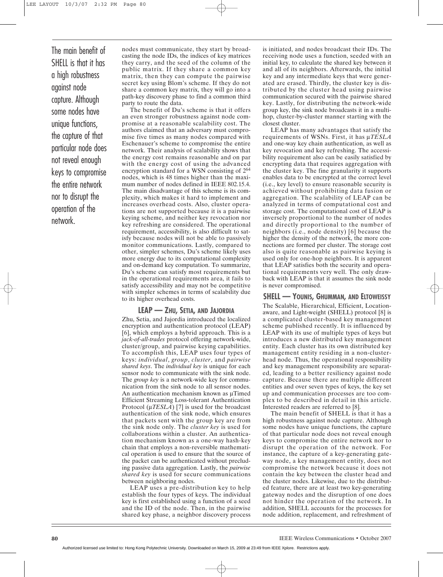The main benefit of SHELL is that it has a high robustness against node capture. Although some nodes have unique functions, the capture of that particular node does not reveal enough keys to compromise the entire network nor to disrupt the operation of the network.

nodes must communicate, they start by broadcasting the node IDs, the indices of key matrices they carry, and the seed of the column of the public matrix. If they share a common key matrix, then they can compute the pairwise secret key using Blom's scheme. If they do not share a common key matrix, they will go into a path-key discovery phase to find a common third party to route the data.

The benefit of Du's scheme is that it offers an even stronger robustness against node compromise at a reasonable scalability cost. The authors claimed that an adversary must compromise five times as many nodes compared with Eschenauer's scheme to compromise the entire network. Their analysis of scalability shows that the energy cost remains reasonable and on par with the energy cost of using the advanced encryption standard for a WSN consisting of 264 nodes, which is 48 times higher than the maximum number of nodes defined in IEEE 802.15.4. The main disadvantage of this scheme is its complexity, which makes it hard to implement and increases overhead costs. Also, cluster operations are not supported because it is a pairwise keying scheme, and neither key revocation nor key refreshing are considered. The operational requirement, accessibility, is also difficult to satisfy because nodes will not be able to passively monitor communications. Lastly, compared to other, simpler schemes, Du's scheme likely uses more energy due to its computational complexity and on-demand key computation. To summarize, Du's scheme can satisfy most requirements but in the operational requirements area, it fails to satisfy accessibility and may not be competitive with simpler schemes in terms of scalability due to its higher overhead costs.

#### **LEAP — ZHU, SETIA, AND JAJORDIA**

Zhu, Setia, and Jajordia introduced the localized encryption and authentication protocol (LEAP) [6], which employs a hybrid approach. This is a *jack-of-all-trades* protocol offering network-wide, cluster/group, and pairwise keying capabilities. To accomplish this, LEAP uses four types of keys: *individual*, *group*, *cluster*, and *pairwise shared keys*. The *individual key* is unique for each sensor node to communicate with the sink node. The *group key* is a network-wide key for communication from the sink node to all sensor nodes. An authentication mechanism known as  $\mu$ Timed Efficient Streaming Loss-tolerant Authentication Protocol ( $\mu$ *TESLA*) [7] is used for the broadcast authentication of the sink node, which ensures that packets sent with the group key are from the sink node only. The *cluster key* is used for collaborations within a cluster. An authentication mechanism known as a one-way hash-key chain that employs a non-reversible mathematical operation is used to ensure that the source of the packet can be authenticated without precluding passive data aggregation. Lastly, the *pairwise shared key* is used for secure communications between neighboring nodes.

LEAP uses a pre-distribution key to help establish the four types of keys. The individual key is first established using a function of a seed and the ID of the node. Then, in the pairwise shared key phase, a neighbor discovery process is initiated, and nodes broadcast their IDs. The receiving node uses a function, seeded with an initial key, to calculate the shared key between it and all of its neighbors. Afterwards, the initial key and any intermediate keys that were generated are erased. Thirdly, the cluster key is distributed by the cluster head using pairwise communication secured with the pairwise shared key. Lastly, for distributing the network-wide group key, the sink node broadcasts it in a multihop, cluster-by-cluster manner starting with the closest cluster.

LEAP has many advantages that satisfy the requirements of WSNs. First, it has µ*TESLA* and one-way key chain authentication, as well as key revocation and key refreshing. The accessibility requirement also can be easily satisfied by encrypting data that requires aggregation with the cluster key. The fine granularity it supports enables data to be encrypted at the correct level (i.e., key level) to ensure reasonable security is achieved without prohibiting data fusion or aggregation. The scalability of LEAP can be analyzed in terms of computational cost and storage cost. The computational cost of LEAP is inversely proportional to the number of nodes and directly proportional to the number of neighbors (i.e., node density) [6] because the higher the density of the network, the more connections are formed per cluster. The storage cost also is quite reasonable as pairwise keying is used only for one-hop neighbors. It is apparent that LEAP satisfies both the security and operational requirements very well. The only drawback with LEAP is that it assumes the sink node is never compromised.

#### **SHELL — YOUNIS, GHUMMAN, AND ELTOWEISSY**

The Scalable, Hierarchical, Efficient, Locationaware, and Light-weight (SHELL) protocol [8] is a complicated cluster-based key management scheme published recently. It is influenced by LEAP with its use of multiple types of keys but introduces a new distributed key management entity. Each cluster has its own distributed key management entity residing in a non-clusterhead node. Thus, the operational responsibility and key management responsibility are separated, leading to a better resiliency against node capture. Because there are multiple different entities and over seven types of keys, the key set up and communication processes are too complex to be described in detail in this article. Interested readers are referred to [8].

The main benefit of SHELL is that it has a high robustness against node capture. Although some nodes have unique functions, the capture of that particular node does not reveal enough keys to compromise the entire network nor to disrupt the operation of the network. For instance, the capture of a key-generating gateway node, a key management entity, does not compromise the network because it does not contain the key between the cluster head and the cluster nodes. Likewise, due to the distributed feature, there are at least two key-generating gateway nodes and the disruption of one does not hinder the operation of the network. In addition, SHELL accounts for the processes for node addition, replacement, and refreshment of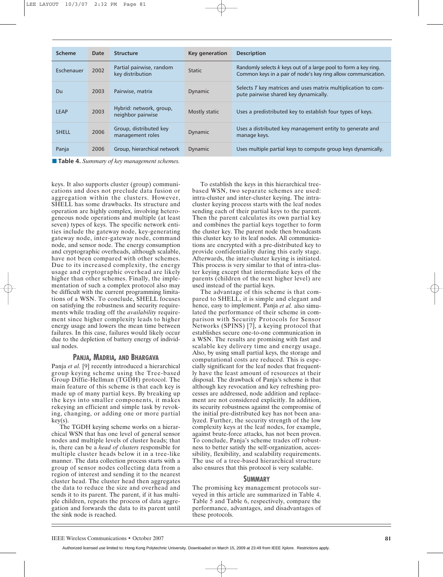| Scheme       | Date | <b>Structure</b>                             | <b>Key generation</b> | <b>Description</b>                                                                                                               |
|--------------|------|----------------------------------------------|-----------------------|----------------------------------------------------------------------------------------------------------------------------------|
| Eschenauer   | 2002 | Partial pairwise, random<br>key distribution | <b>Static</b>         | Randomly selects k keys out of a large pool to form a key ring.<br>Common keys in a pair of node's key ring allow communication. |
| Du           | 2003 | Pairwise, matrix                             | Dynamic               | Selects T key matrices and uses matrix multiplication to com-<br>pute pairwise shared key dynamically.                           |
| <b>LEAP</b>  | 2003 | Hybrid: network, group,<br>neighbor pairwise | Mostly static         | Uses a predistributed key to establish four types of keys.                                                                       |
| <b>SHELL</b> | 2006 | Group, distributed key<br>management roles   | Dynamic               | Uses a distributed key management entity to generate and<br>manage keys.                                                         |
| Panja        | 2006 | Group, hierarchical network                  | Dynamic               | Uses multiple partial keys to compute group keys dynamically.                                                                    |

■ **Table 4.** *Summary of key management schemes.* 

keys. It also supports cluster (group) communications and does not preclude data fusion or aggregation within the clusters. However, SHELL has some drawbacks. Its structure and operation are highly complex, involving heterogeneous node operations and multiple (at least seven) types of keys. The specific network entities include the gateway node, key-generating gateway node, inter-gateway node, command node, and sensor node. The energy consumption and cryptographic overheads, although scalable, have not been compared with other schemes. Due to its increased complexity, the energy usage and cryptographic overhead are likely higher than other schemes. Finally, the implementation of such a complex protocol also may be difficult with the current programming limitations of a WSN. To conclude, SHELL focuses on satisfying the robustness and security requirements while trading off the *availability* requirement since higher complexity leads to higher energy usage and lowers the mean time between failures. In this case, failures would likely occur due to the depletion of battery energy of individual nodes.

#### **PANJA, MADRIA, AND BHARGAVA**

Panja *et al.* [9] recently introduced a hierarchical group keying scheme using the Tree-based Group Diffie-Hellman (TGDH) protocol. The main feature of this scheme is that each key is made up of many partial keys. By breaking up the keys into smaller components, it makes rekeying an efficient and simple task by revoking, changing, or adding one or more partial key(s).

The TGDH keying scheme works on a hierarchical WSN that has one level of general sensor nodes and multiple levels of cluster heads; that is, there can be a *head of clusters* responsible for multiple cluster heads below it in a tree-like manner. The data collection process starts with a group of sensor nodes collecting data from a region of interest and sending it to the nearest cluster head. The cluster head then aggregates the data to reduce the size and overhead and sends it to its parent. The parent, if it has multiple children, repeats the process of data aggregation and forwards the data to its parent until the sink node is reached.

To establish the keys in this hierarchical treebased WSN, two separate schemes are used: intra-cluster and inter-cluster keying. The intracluster keying process starts with the leaf nodes sending each of their partial keys to the parent. Then the parent calculates its own partial key and combines the partial keys together to form the cluster key. The parent node then broadcasts this cluster key to its leaf nodes. All communications are encrypted with a pre-distributed key to provide confidentiality during this early stage. Afterwards, the inter-cluster keying is initiated. This process is very similar to that of intra-cluster keying except that intermediate keys of the parents (children of the next higher level) are used instead of the partial keys.

The advantage of this scheme is that compared to SHELL, it is simple and elegant and hence, easy to implement. Panja *et al.* also simulated the performance of their scheme in comparison with Security Protocols for Sensor Networks (SPINS) [7], a keying protocol that establishes secure one-to-one communication in a WSN. The results are promising with fast and scalable key delivery time and energy usage. Also, by using small partial keys, the storage and computational costs are reduced. This is especially significant for the leaf nodes that frequently have the least amount of resources at their disposal. The drawback of Panja's scheme is that although key revocation and key refreshing processes are addressed, node addition and replacement are not considered explicitly. In addition, its security robustness against the compromise of the initial pre-distributed key has not been analyzed. Further, the security strength of the low complexity keys at the leaf nodes, for example, against brute-force attacks, has not been proven. To conclude, Panja's scheme trades off robustness to better satisfy the self-organization, accessibility, flexibility, and scalability requirements. The use of a tree-based hierarchical structure also ensures that this protocol is very scalable.

#### **SUMMARY**

The promising key management protocols surveyed in this article are summarized in Table 4. Table 5 and Table 6, respectively, compare the performance, advantages, and disadvantages of these protocols.

Authorized licensed use limited to: Hong Kong Polytechnic University. Downloaded on March 15, 2009 at 23:49 from IEEE Xplore. Restrictions apply.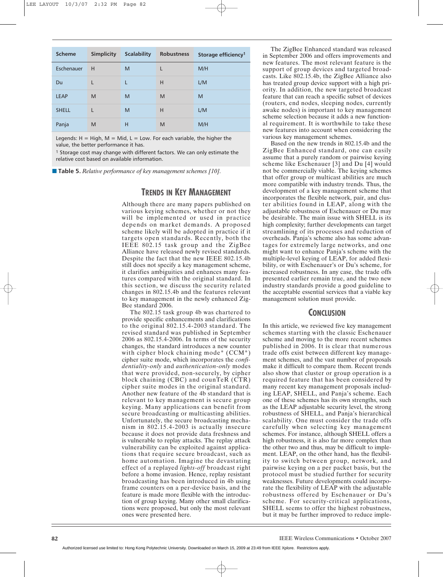| <b>Scheme</b> | <b>Simplicity</b> | <b>Scalability</b> | Robustness | Storage efficiency <sup>1</sup> |
|---------------|-------------------|--------------------|------------|---------------------------------|
| Eschenauer    | H                 | M                  | L          | M/H                             |
| Du            | L                 |                    | H          | L/M                             |
| <b>LEAP</b>   | M                 | M                  | M          | M                               |
| <b>SHELL</b>  |                   | M                  | Н          | LM                              |
| Panja         | M                 | н                  | M          | M/H                             |

Legends:  $H = High$ ,  $M = Mid$ ,  $L = Low$ . For each variable, the higher the value, the better performance it has.

<sup>1</sup> Storage cost may change with different factors. We can only estimate the relative cost based on available information.

■ **Table 5.** *Relative performance of key management schemes [10]*.

# **TRENDS IN KEY MANAGEMENT**

Although there are many papers published on various keying schemes, whether or not they will be implemented or used in practice depends on market demands. A proposed scheme likely will be adopted in practice if it targets open standards. Recently, both the IEEE 802.15 task group and the ZigBee Alliance have released newly revised standards. Despite the fact that the new IEEE 802.15.4b still does not specify a key management scheme, it clarifies ambiguities and enhances many features compared with the original standard. In this section, we discuss the security related changes in 802.15.4b and the features relevant to key management in the newly enhanced Zig-Bee standard 2006.

The 802.15 task group 4b was chartered to provide specific enhancements and clarifications to the original 802.15.4-2003 standard. The revised standard was published in September 2006 as 802.15.4-2006. In terms of the security changes, the standard introduces a new counter with cipher block chaining mode<sup>\*</sup> (CCM<sup>\*</sup>) cipher suite mode, which incorporates the *confidentiality-only* and *authentication-only* modes that were provided, non-securely, by cipher block chaining (CBC) and counTeR (CTR) cipher suite modes in the original standard. Another new feature of the 4b standard that is relevant to key management is secure group keying. Many applications can benefit from secure broadcasting or multicasting abilities. Unfortunately, the secure broadcasting mechanism in 802.15.4-2003 is actually insecure because it does not provide data freshness and is vulnerable to replay attacks. The replay attack vulnerability can be exploited against applications that require secure broadcast, such as home automation. Imagine the devastating effect of a replayed *lights-off* broadcast right before a home invasion. Hence, replay resistant broadcasting has been introduced in 4b using frame counters on a per-device basis, and the feature is made more flexible with the introduction of group keying. Many other small clarifications were proposed, but only the most relevant ones were presented here.

The ZigBee Enhanced standard was released in September 2006 and offers improvements and new features. The most relevant feature is the support of group devices and targeted broadcasts. Like 802.15.4b, the ZigBee Alliance also has treated group device support with a high priority. In addition, the new targeted broadcast feature that can reach a specific subset of devices (routers, end nodes, sleeping nodes, currently awake nodes) is important to key management scheme selection because it adds a new functional requirement. It is worthwhile to take these new features into account when considering the various key management schemes.

Based on the new trends in 802.15.4b and the ZigBee Enhanced standard, one can easily assume that a purely random or pairwise keying scheme like Eschenauer [3] and Du [4] would not be commercially viable. The keying schemes that offer group or multicast abilities are much more compatible with industry trends. Thus, the development of a key management scheme that incorporates the flexible network, pair, and cluster abilities found in LEAP, along with the adjustable robustness of Eschenauer or Du may be desirable. The main issue with SHELL is its high complexity; further developments can target streamlining of its processes and reduction of overheads. Panja's scheme also has some advantages for extremely large networks, and one might want to enhance Panja's scheme with the multiple-level keying of LEAP, for added flexibility, or with Eschenauer's or Du's scheme, for increased robustness. In any case, the trade offs presented earlier remain true, and the two new industry standards provide a good guideline to the acceptable essential services that a viable key management solution must provide.

#### **CONCLUSION**

In this article, we reviewed five key management schemes starting with the classic Eschenauer scheme and moving to the more recent schemes published in 2006. It is clear that numerous trade offs exist between different key management schemes, and the vast number of proposals make it difficult to compare them. Recent trends also show that cluster or group operation is a required feature that has been considered by many recent key management proposals including LEAP, SHELL, and Panja's scheme. Each one of these schemes has its own strengths, such as the LEAP adjustable security level, the strong robustness of SHELL, and Panja's hierarchical scalability. One must consider the trade offs carefully when selecting key management schemes. For instance, although SHELL offers a high robustness, it is also far more complex than the other two and thus, may be difficult to implement. LEAP, on the other hand, has the flexibility to switch between group, network, and pairwise keying on a per packet basis, but the protocol must be studied further for security weaknesses. Future developments could incorporate the flexibility of LEAP with the adjustable robustness offered by Eschenauer or Du's scheme. For security-critical applications, SHELL seems to offer the highest robustness, but it may be further improved to reduce imple-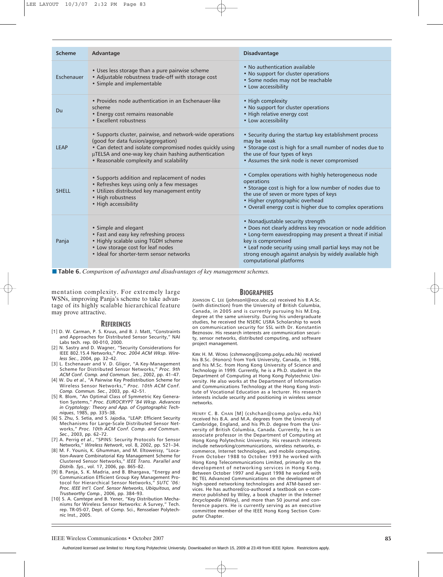| <b>Scheme</b> | Advantage                                                                                                                                                                                                                                                     | <b>Disadvantage</b>                                                                                                                                                                                                                                                                                                                  |
|---------------|---------------------------------------------------------------------------------------------------------------------------------------------------------------------------------------------------------------------------------------------------------------|--------------------------------------------------------------------------------------------------------------------------------------------------------------------------------------------------------------------------------------------------------------------------------------------------------------------------------------|
| Eschenauer    | • Uses less storage than a pure pairwise scheme<br>• Adjustable robustness trade-off with storage cost<br>• Simple and implementable                                                                                                                          | • No authentication available<br>• No support for cluster operations<br>• Some nodes may not be reachable<br>• Low accessibility                                                                                                                                                                                                     |
| Du            | • Provides node authentication in an Eschenauer-like<br>scheme<br>• Energy cost remains reasonable<br>• Excellent robustness                                                                                                                                  | • High complexity<br>• No support for cluster operations<br>• High relative energy cost<br>• Low accessibility                                                                                                                                                                                                                       |
| <b>LEAP</b>   | • Supports cluster, pairwise, and network-wide operations<br>(good for data fusion/aggregation)<br>• Can detect and isolate compromised nodes quickly using<br>µTELSA and one-way key chain hashing authentication<br>• Reasonable complexity and scalability | • Security during the startup key establishment process<br>may be weak<br>• Storage cost is high for a small number of nodes due to<br>the use of four types of keys<br>• Assumes the sink node is never compromised                                                                                                                 |
| <b>SHELL</b>  | • Supports addition and replacement of nodes<br>• Refreshes keys using only a few messages<br>• Utilizes distributed key management entity<br>• High robustness<br>• High accessibility                                                                       | • Complex operations with highly heterogeneous node<br>operations<br>• Storage cost is high for a low number of nodes due to<br>the use of seven or more types of keys<br>· Higher cryptographic overhead<br>• Overall energy cost is higher due to complex operations                                                               |
| Panja         | • Simple and elegant<br>• Fast and easy key refreshing process<br>• Highly scalable using TGDH scheme<br>• Low storage cost for leaf nodes<br>· Ideal for shorter-term sensor networks                                                                        | • Nonadjustable security strength<br>• Does not clearly address key revocation or node addition<br>• Long-term eavesdropping may present a threat if initial<br>key is compromised<br>• Leaf node security using small partial keys may not be<br>strong enough against analysis by widely available high<br>computational platforms |

■ **Table 6.** *Comparison of advantages and disadvantages of key management schemes.* 

mentation complexity. For extremely large WSNs, improving Panja's scheme to take advantage of its highly scalable hierarchical feature may prove attractive.

#### **REFERENCES**

- [1] D. W. Carman, P. S. Kruus, and B. J. Matt, "Constraints and Approaches for Distributed Sensor Security," NAI Labs tech. rep. 00-010, 2000.
- [2] N. Sastry and D. Wagner, "Security Considerations for IEEE 802.15.4 Networks," *Proc. 2004 ACM Wksp. Wireless Sec.*, 2004, pp. 32–42.
- [3] L. Eschenauer and V. D. Gligor, "A Key-Management Scheme for Distributed Sensor Networks," *Proc. 9th ACM Conf. Comp. and Commun. Sec.*, 2002, pp. 41–47.
- [4] W. Du *et al.*, "A Pairwise Key Predistribution Scheme for Wireless Sensor Networks," *Proc. 10th ACM Conf. Comp. Commun. Sec.*, 2003, pp. 42–51.
- [5] R. Blom, "An Optimal Class of Symmetric Key Genera-tion Systems," *Proc. EUROCRYPT '84 Wksp. Advances in Cryptology: Theory and App. of Cryptographic Techniques*, 1985, pp. 335–38.
- [6] S. Zhu, S. Setia, and S. Jajodia, "LEAP: Efficient Security Mechanisms for Large-Scale Distributed Sensor Networks," *Proc. 10th ACM Conf. Comp. and Commun. Sec.*, 2003, pp. 62–72.
- [7] A. Perrig *et al.*, "SPINS: Security Protocols for Sensor Networks," *Wireless Network*, vol. 8, 2002, pp. 521–34.
- [8] M. F. Younis, K. Ghumman, and M. Eltoweissy, "Location-Aware Combinatorial Key Management Scheme for Clustered Sensor Networks," *IEEE Trans. Parallel and Distrib. Sys.*, vol. 17, 2006, pp. 865–82.
- [9] B. Panja, S. K. Madria, and B. Bhargava, "Energy and Communication Efficient Group Key Management Protocol for Hierarchical Sensor Networks," *SUTC '06: Proc. IEEE Int'l. Conf. Sensor Networks, Ubiquitous, and*
- *Trustworthy Comp.*, 2006, pp. 384–93. [10] S. A. Camtepe and B. Yener, "Key Distribution Mechanisms for Wireless Sensor Networks: A Survey," Tech. rep. TR-05-07, Dept. of Comp. Sci., Rensselaer Polytechnic Inst., 2005.

#### **BIOGRAPHIES**

JOHNSON C. LEE (johnsonl@ece.ubc.ca) received his B.A.Sc. (with distinction) from the University of British Columbia, Canada, in 2005 and is currently pursuing his M.Eng. degree at the same university. During his undergraduate studies, he received the NSERC USRA Scholarship to work on communication security for SSL with Dr. Konstantin Beznosov. His research interests are communication security, sensor networks, distributed computing, and software project management.

KIRK H. M. WONG (cshmwong@comp.polyu.edu.hk) received his B.Sc. (Honors) from York University, Canada, in 1986, and his M.Sc. from Hong Kong University of Science and Technology in 1999. Currently, he is a Ph.D. student in the Department of Computing at Hong Kong Polytechnic University. He also works at the Department of Information and Communications Technology at the Hong Kong Institute of Vocational Education as a lecturer. His research interests include security and positioning in wireless sensor networks.

HENRY C. B. CHAN [M] (cshchan@comp.polyu.edu.hk) received his B.A. and M.A. degrees from the University of Cambridge, England, and his Ph.D. degree from the University of British Columbia, Canada. Currently, he is an associate professor in the Department of Computing at Hong Kong Polytechnic University. His research interests include networking/communications, wireless networks, ecommerce, Internet technologies, and mobile computing. From October 1988 to October 1993 he worked with Hong Kong Telecommunications Limited, primarily on the development of networking services in Hong Kong. Between October 1997 and August 1998 he worked with BC TEL Advanced Communications on the development of high-speed networking technologies and ATM-based services. He has authored/co-authored a textbook on e-commerce published by Wiley, a book chapter in the *Internet Encyclopedia* (Wiley), and more than 50 journal and conference papers. He is currently serving as an executive committee member of the IEEE Hong Kong Section Computer Chapter.

#### IEEE Wireless Communications • October 2007 **83**